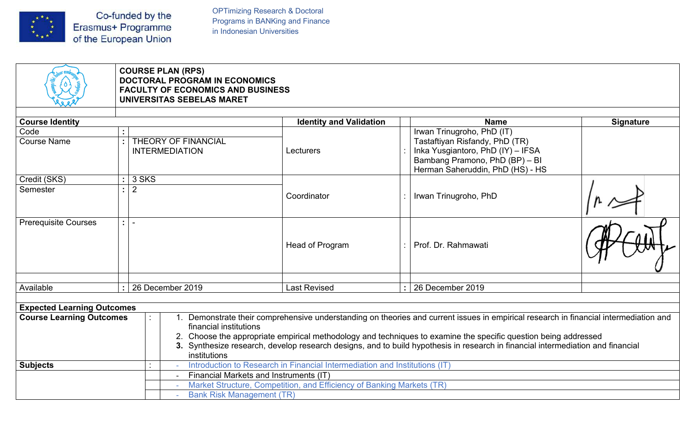

OPTimizing Research & Doctoral<br>Programs in BANKing and Finance<br>in Indonesian Universities OPTimizing Research & Doctoral<br>Programs in BANKing and Finance<br>in Indonesian Universities

| $\begin{bmatrix} \mathbf{x}^{\mathbf{y}} \\ \mathbf{x}^{\mathbf{y}} \\ \mathbf{x}^{\mathbf{y}} \\ \mathbf{x}^{\mathbf{y}} \end{bmatrix}$ | Co-funded by the<br>Erasmus+ Programme<br>of the European Union                                               | <b>OPTimizing Research &amp; Doctoral</b><br>Programs in BANKing and Finance<br>in Indonesian Universities           |                                                                                                                                                                                                                                                                                                                                                                                          |                  |
|------------------------------------------------------------------------------------------------------------------------------------------|---------------------------------------------------------------------------------------------------------------|----------------------------------------------------------------------------------------------------------------------|------------------------------------------------------------------------------------------------------------------------------------------------------------------------------------------------------------------------------------------------------------------------------------------------------------------------------------------------------------------------------------------|------------------|
|                                                                                                                                          | <b>COURSE PLAN (RPS)</b>                                                                                      |                                                                                                                      |                                                                                                                                                                                                                                                                                                                                                                                          |                  |
|                                                                                                                                          | <b>DOCTORAL PROGRAM IN ECONOMICS</b><br><b>FACULTY OF ECONOMICS AND BUSINESS</b><br>UNIVERSITAS SEBELAS MARET |                                                                                                                      |                                                                                                                                                                                                                                                                                                                                                                                          |                  |
| <b>Course Identity</b>                                                                                                                   |                                                                                                               | <b>Identity and Validation</b>                                                                                       | <b>Name</b>                                                                                                                                                                                                                                                                                                                                                                              | <b>Signature</b> |
| Code<br><b>Course Name</b>                                                                                                               | $\mathbb{R}^n$<br><b>THEORY OF FINANCIAL</b><br><b>INTERMEDIATION</b>                                         | Lecturers                                                                                                            | Irwan Trinugroho, PhD (IT)<br>Tastaftiyan Risfandy, PhD (TR)<br>Inka Yusgiantoro, PhD (IY) - IFSA<br>Bambang Pramono, PhD (BP) - BI<br>Herman Saheruddin, PhD (HS) - HS                                                                                                                                                                                                                  |                  |
| Credit (SKS)<br>Semester                                                                                                                 | $: 3$ SKS<br>$\vert$ 2<br>$\mathbf{u}$                                                                        |                                                                                                                      |                                                                                                                                                                                                                                                                                                                                                                                          |                  |
|                                                                                                                                          |                                                                                                               | Coordinator                                                                                                          | Irwan Trinugroho, PhD                                                                                                                                                                                                                                                                                                                                                                    |                  |
| <b>Prerequisite Courses</b>                                                                                                              | $\pm$ 1 =                                                                                                     | Head of Program                                                                                                      | Prof. Dr. Rahmawati                                                                                                                                                                                                                                                                                                                                                                      |                  |
| Available                                                                                                                                | $: 26$ December 2019                                                                                          | <b>Last Revised</b>                                                                                                  | 26 December 2019                                                                                                                                                                                                                                                                                                                                                                         |                  |
| <b>Expected Learning Outcomes</b>                                                                                                        |                                                                                                               |                                                                                                                      |                                                                                                                                                                                                                                                                                                                                                                                          |                  |
| <b>Course Learning Outcomes</b>                                                                                                          | financial institutions<br>institutions                                                                        |                                                                                                                      | Demonstrate their comprehensive understanding on theories and current issues in empirical research in financial intermediation and<br>2. Choose the appropriate empirical methodology and techniques to examine the specific question being addressed<br>3. Synthesize research, develop research designs, and to build hypothesis in research in financial intermediation and financial |                  |
| <b>Subjects</b>                                                                                                                          |                                                                                                               | Introduction to Research in Financial Intermediation and Institutions (IT)<br>Financial Markets and Instruments (IT) |                                                                                                                                                                                                                                                                                                                                                                                          |                  |
|                                                                                                                                          |                                                                                                               | Market Structure, Competition, and Efficiency of Banking Markets (TR)                                                |                                                                                                                                                                                                                                                                                                                                                                                          |                  |
|                                                                                                                                          | <b>Bank Risk Management (TR)</b>                                                                              |                                                                                                                      |                                                                                                                                                                                                                                                                                                                                                                                          |                  |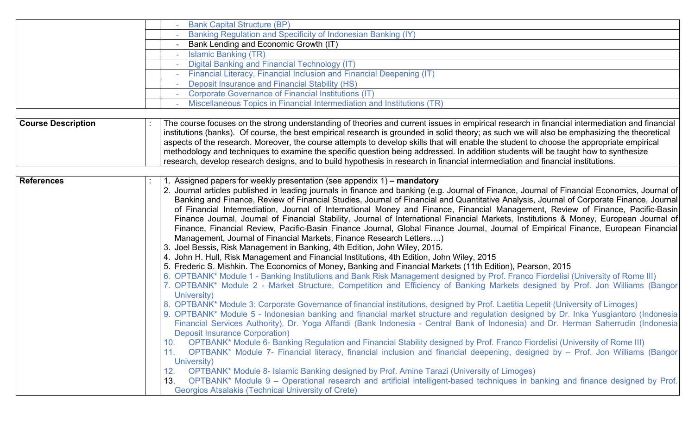|                   | <b>Bank Capital Structure (BP)</b>                                                                                                                                                                                                                                                                                                                                                                                                                                                                                                                                                                                                                                                                                                                                                                                                                                                                                                                                                                                                                                                                                                                                                                                                                                                           |
|-------------------|----------------------------------------------------------------------------------------------------------------------------------------------------------------------------------------------------------------------------------------------------------------------------------------------------------------------------------------------------------------------------------------------------------------------------------------------------------------------------------------------------------------------------------------------------------------------------------------------------------------------------------------------------------------------------------------------------------------------------------------------------------------------------------------------------------------------------------------------------------------------------------------------------------------------------------------------------------------------------------------------------------------------------------------------------------------------------------------------------------------------------------------------------------------------------------------------------------------------------------------------------------------------------------------------|
|                   | Banking Regulation and Specificity of Indonesian Banking (IY)                                                                                                                                                                                                                                                                                                                                                                                                                                                                                                                                                                                                                                                                                                                                                                                                                                                                                                                                                                                                                                                                                                                                                                                                                                |
|                   | Bank Lending and Economic Growth (IT)                                                                                                                                                                                                                                                                                                                                                                                                                                                                                                                                                                                                                                                                                                                                                                                                                                                                                                                                                                                                                                                                                                                                                                                                                                                        |
|                   | <b>Islamic Banking (TR)</b>                                                                                                                                                                                                                                                                                                                                                                                                                                                                                                                                                                                                                                                                                                                                                                                                                                                                                                                                                                                                                                                                                                                                                                                                                                                                  |
|                   | <b>Digital Banking and Financial Technology (IT)</b>                                                                                                                                                                                                                                                                                                                                                                                                                                                                                                                                                                                                                                                                                                                                                                                                                                                                                                                                                                                                                                                                                                                                                                                                                                         |
|                   | Financial Literacy, Financial Inclusion and Financial Deepening (IT)                                                                                                                                                                                                                                                                                                                                                                                                                                                                                                                                                                                                                                                                                                                                                                                                                                                                                                                                                                                                                                                                                                                                                                                                                         |
|                   | <b>Deposit Insurance and Financial Stability (HS)</b>                                                                                                                                                                                                                                                                                                                                                                                                                                                                                                                                                                                                                                                                                                                                                                                                                                                                                                                                                                                                                                                                                                                                                                                                                                        |
|                   | Corporate Governance of Financial Institutions (IT)                                                                                                                                                                                                                                                                                                                                                                                                                                                                                                                                                                                                                                                                                                                                                                                                                                                                                                                                                                                                                                                                                                                                                                                                                                          |
|                   | Miscellaneous Topics in Financial Intermediation and Institutions (TR)                                                                                                                                                                                                                                                                                                                                                                                                                                                                                                                                                                                                                                                                                                                                                                                                                                                                                                                                                                                                                                                                                                                                                                                                                       |
|                   | methodology and techniques to examine the specific question being addressed. In addition students will be taught how to synthesize<br>research, develop research designs, and to build hypothesis in research in financial intermediation and financial institutions.                                                                                                                                                                                                                                                                                                                                                                                                                                                                                                                                                                                                                                                                                                                                                                                                                                                                                                                                                                                                                        |
| <b>References</b> | . Assigned papers for weekly presentation (see appendix 1) - mandatory<br>2. Journal articles published in leading journals in finance and banking (e.g. Journal of Finance, Journal of Financial Economics, Journal of<br>Banking and Finance, Review of Financial Studies, Journal of Financial and Quantitative Analysis, Journal of Corporate Finance, Journal<br>of Financial Intermediation, Journal of International Money and Finance, Financial Management, Review of Finance, Pacific-Basin<br>Finance Journal, Journal of Financial Stability, Journal of International Financial Markets, Institutions & Money, European Journal of<br>Finance, Financial Review, Pacific-Basin Finance Journal, Global Finance Journal, Journal of Empirical Finance, European Financial<br>Management, Journal of Financial Markets, Finance Research Letters)<br>3. Joel Bessis, Risk Management in Banking, 4th Edition, John Wiley, 2015.<br>4. John H. Hull, Risk Management and Financial Institutions, 4th Edition, John Wiley, 2015<br>5. Frederic S. Mishkin. The Economics of Money, Banking and Financial Markets (11th Edition), Pearson, 2015<br>6. OPTBANK* Module 1 - Banking Institutions and Bank Risk Management designed by Prof. Franco Fiordelisi (University of Rome III) |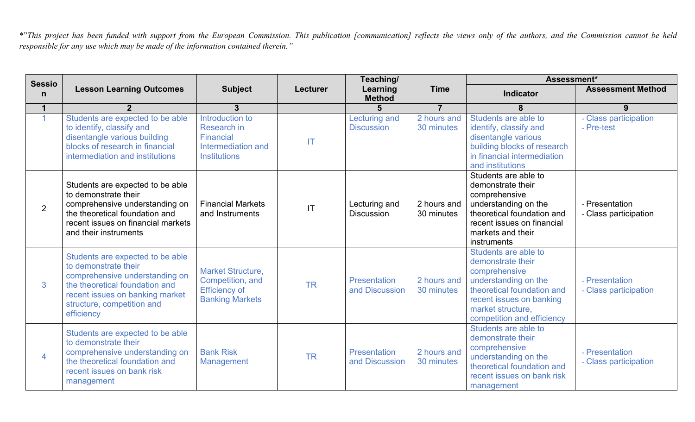This project has been funded with support from the European Commission. This publication [communication] reflects the views only of the authors, and the Commission cannot be held<br>responsible for any use which may be made o

|                               |                                                                                                                                                                                                             |                                                                                                |                        | Teaching/                                 |                           | Assessment*                                                                                                                                                                                     |                                         |
|-------------------------------|-------------------------------------------------------------------------------------------------------------------------------------------------------------------------------------------------------------|------------------------------------------------------------------------------------------------|------------------------|-------------------------------------------|---------------------------|-------------------------------------------------------------------------------------------------------------------------------------------------------------------------------------------------|-----------------------------------------|
| <b>Sessio</b><br>$\mathsf{n}$ | <b>Lesson Learning Outcomes</b>                                                                                                                                                                             | <b>Subject</b>                                                                                 | <b>Lecturer</b>        | Learning<br><b>Method</b>                 | <b>Time</b>               | Indicator                                                                                                                                                                                       | <b>Assessment Method</b>                |
|                               | $\overline{2}$                                                                                                                                                                                              | $\overline{3}$                                                                                 |                        |                                           | $\overline{7}$            | 8                                                                                                                                                                                               | 9                                       |
| $\blacktriangleleft$          | Students are expected to be able<br>to identify, classify and<br>disentangle various building<br>blocks of research in financial<br>intermediation and institutions                                         | Introduction to<br>Research in<br>Financial<br>Intermediation and<br><b>Institutions</b>       | <b>IT</b>              | <b>Lecturing and</b><br><b>Discussion</b> | 2 hours and<br>30 minutes | Students are able to<br>identify, classify and<br>disentangle various<br>building blocks of research<br>in financial intermediation<br>and institutions                                         | - Class participation<br>- Pre-test     |
| $2^{\circ}$                   | Students are expected to be able<br>to demonstrate their<br>comprehensive understanding on<br>the theoretical foundation and<br>recent issues on financial markets<br>and their instruments                 | <b>Financial Markets</b><br>and Instruments                                                    | $\mathsf{I}\mathsf{T}$ | Lecturing and<br><b>Discussion</b>        | 2 hours and<br>30 minutes | Students are able to<br>demonstrate their<br>comprehensive<br>understanding on the<br>theoretical foundation and<br>recent issues on financial<br>markets and their<br>instruments              | - Presentation<br>- Class participation |
| 3 <sup>1</sup>                | Students are expected to be able<br>to demonstrate their<br>comprehensive understanding on<br>the theoretical foundation and<br>recent issues on banking market<br>structure, competition and<br>efficiency | <b>Market Structure,</b><br>Competition, and<br><b>Efficiency of</b><br><b>Banking Markets</b> | <b>TR</b>              | <b>Presentation</b><br>and Discussion     | 2 hours and<br>30 minutes | Students are able to<br>demonstrate their<br>comprehensive<br>understanding on the<br>theoretical foundation and<br>recent issues on banking<br>market structure,<br>competition and efficiency | - Presentation<br>- Class participation |
| $\overline{4}$                | Students are expected to be able<br>to demonstrate their<br>comprehensive understanding on<br>the theoretical foundation and<br>recent issues on bank risk<br>management                                    | <b>Bank Risk</b><br>Management                                                                 | <b>TR</b>              | <b>Presentation</b><br>and Discussion     | 2 hours and<br>30 minutes | Students are able to<br>demonstrate their<br>comprehensive<br>understanding on the<br>theoretical foundation and<br>recent issues on bank risk<br>management                                    | - Presentation<br>- Class participation |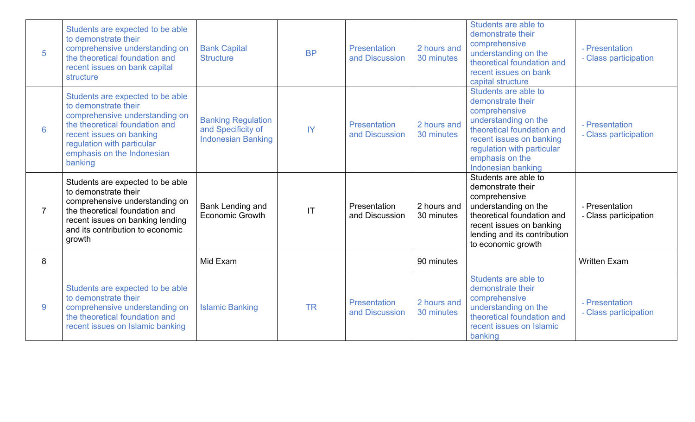| $5\phantom{1}$ | Students are expected to be able<br>to demonstrate their<br>comprehensive understanding on<br>the theoretical foundation and<br>recent issues on bank capital<br>structure                                                      | <b>Bank Capital</b><br><b>Structure</b>                                      | <b>BP</b>              | <b>Presentation</b><br>and Discussion | 2 hours and<br>30 minutes | Students are able to<br>demonstrate their<br>comprehensive<br>understanding on the<br>theoretical foundation and<br>recent issues on bank<br>capital structure                                                      | - Presentation<br>- Class participation |
|----------------|---------------------------------------------------------------------------------------------------------------------------------------------------------------------------------------------------------------------------------|------------------------------------------------------------------------------|------------------------|---------------------------------------|---------------------------|---------------------------------------------------------------------------------------------------------------------------------------------------------------------------------------------------------------------|-----------------------------------------|
| 6              | Students are expected to be able<br>to demonstrate their<br>comprehensive understanding on<br>the theoretical foundation and<br>recent issues on banking<br>regulation with particular<br>emphasis on the Indonesian<br>banking | <b>Banking Regulation</b><br>and Specificity of<br><b>Indonesian Banking</b> | $\mathsf{I}$           | <b>Presentation</b><br>and Discussion | 2 hours and<br>30 minutes | Students are able to<br>demonstrate their<br>comprehensive<br>understanding on the<br>theoretical foundation and<br>recent issues on banking<br>regulation with particular<br>emphasis on the<br>Indonesian banking | - Presentation<br>- Class participation |
| $\overline{7}$ | Students are expected to be able<br>to demonstrate their<br>comprehensive understanding on<br>the theoretical foundation and<br>recent issues on banking lending<br>and its contribution to economic<br>growth                  | <b>Bank Lending and</b><br>Economic Growth                                   | $\mathsf{I}\mathsf{T}$ | Presentation<br>and Discussion        | 2 hours and<br>30 minutes | Students are able to<br>demonstrate their<br>comprehensive<br>understanding on the<br>theoretical foundation and<br>recent issues on banking<br>lending and its contribution<br>to economic growth                  | - Presentation<br>- Class participation |
| 8              |                                                                                                                                                                                                                                 | Mid Exam                                                                     |                        |                                       | 90 minutes                |                                                                                                                                                                                                                     | <b>Written Exam</b>                     |
| 9              | Students are expected to be able<br>to demonstrate their<br>comprehensive understanding on<br>the theoretical foundation and<br>recent issues on Islamic banking                                                                | <b>Islamic Banking</b>                                                       | <b>TR</b>              | Presentation<br>and Discussion        | 2 hours and<br>30 minutes | Students are able to<br>demonstrate their<br>comprehensive<br>understanding on the<br>theoretical foundation and<br>recent issues on Islamic<br>banking                                                             | - Presentation<br>- Class participation |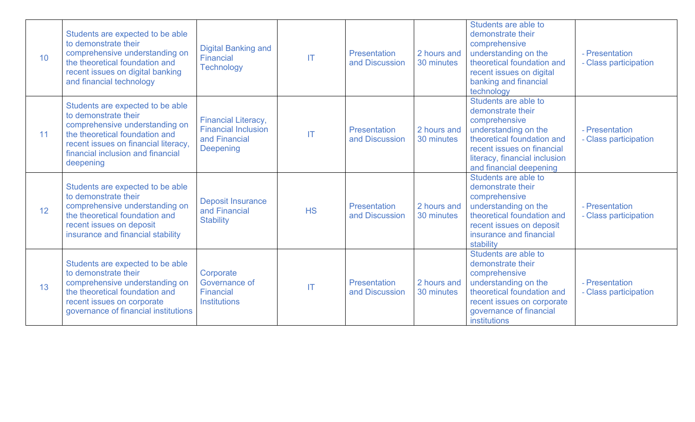| 10 | Students are expected to be able<br>to demonstrate their<br>comprehensive understanding on<br>the theoretical foundation and<br>recent issues on digital banking<br>and financial technology                           | <b>Digital Banking and</b><br>Financial<br><b>Technology</b>                           | $\mathsf{I}$           | <b>Presentation</b><br>and Discussion | 2 hours and<br>30 minutes | Students are able to<br>demonstrate their<br>comprehensive<br>understanding on the<br>theoretical foundation and<br>recent issues on digital<br>banking and financial<br>technology                        | - Presentation<br>- Class participation |
|----|------------------------------------------------------------------------------------------------------------------------------------------------------------------------------------------------------------------------|----------------------------------------------------------------------------------------|------------------------|---------------------------------------|---------------------------|------------------------------------------------------------------------------------------------------------------------------------------------------------------------------------------------------------|-----------------------------------------|
| 11 | Students are expected to be able<br>to demonstrate their<br>comprehensive understanding on<br>the theoretical foundation and<br>recent issues on financial literacy,<br>financial inclusion and financial<br>deepening | <b>Financial Literacy,</b><br><b>Financial Inclusion</b><br>and Financial<br>Deepening | $\mathsf{I}\mathsf{T}$ | <b>Presentation</b><br>and Discussion | 2 hours and<br>30 minutes | Students are able to<br>demonstrate their<br>comprehensive<br>understanding on the<br>theoretical foundation and<br>recent issues on financial<br>literacy, financial inclusion<br>and financial deepening | - Presentation<br>- Class participation |
| 12 | Students are expected to be able<br>to demonstrate their<br>comprehensive understanding on<br>the theoretical foundation and<br>recent issues on deposit<br>insurance and financial stability                          | <b>Deposit Insurance</b><br>and Financial<br><b>Stability</b>                          | <b>HS</b>              | <b>Presentation</b><br>and Discussion | 2 hours and<br>30 minutes | Students are able to<br>demonstrate their<br>comprehensive<br>understanding on the<br>theoretical foundation and<br>recent issues on deposit<br>insurance and financial<br>stability                       | - Presentation<br>- Class participation |
| 13 | Students are expected to be able<br>to demonstrate their<br>comprehensive understanding on<br>the theoretical foundation and<br>recent issues on corporate<br>governance of financial institutions                     | Corporate<br>Governance of<br><b>Financial</b><br><b>Institutions</b>                  | IT                     | <b>Presentation</b><br>and Discussion | 2 hours and<br>30 minutes | Students are able to<br>demonstrate their<br>comprehensive<br>understanding on the<br>theoretical foundation and<br>recent issues on corporate<br>governance of financial<br>institutions                  | - Presentation<br>- Class participation |